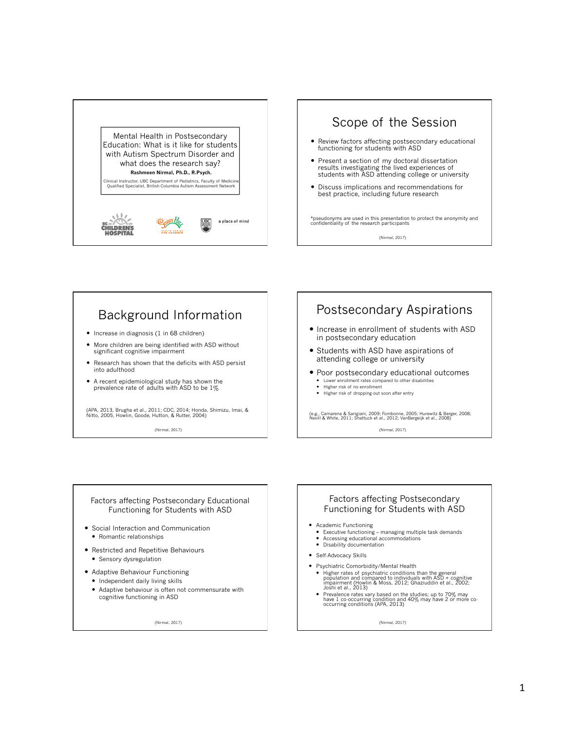



# Background Information

- Increase in diagnosis (1 in 68 children)
- More children are being identified with ASD without significant cognitive impairment
- Research has shown that the deficits with ASD persist into adulthood
- A recent epidemiological study has shown the prevalence rate of adults with ASD to be 1%

(APA, 2013, Brugha et al., 2011; CDC, 2014; Honda, Shimizu, Imai, & Nitto, 2005, Howlin, Goode, Hutton, & Rutter, 2004)

(Nirmal, 2017)

## Postsecondary Aspirations

- Increase in enrollment of students with ASD in postsecondary education
- Students with ASD have aspirations of attending college or university
- Poor postsecondary educational outcomes Lower enrollment rates compared to other disabilities
	- Higher risk of no enrollment
	- Higher risk of dropping-out soon after entry

(e.g., Camarena & Sarigiani, 2009; Fombonne, 2005; Hurewitz & Berger, 2008; Nevill & White, 2011; Shattuck et al., 2012; VanBergeijk et al., 2008)

(Nirmal, 2017)

#### Factors affecting Postsecondary Educational Functioning for Students with ASD

- Social Interaction and Communication • Romantic relationships
- Restricted and Repetitive Behaviours **•** Sensory dysregulation
- Adaptive Behaviour Functioning
	- Independent daily living skills
	- Adaptive behaviour is often not commensurate with cognitive functioning in ASD

(Nirmal, 2017)

#### Factors affecting Postsecondary Functioning for Students with ASD

- Academic Functioning
- Executive functioning managing multiple task demands Accessing educational accommodations
- 
- Disability documentation
- Self-Advocacy Skills
- Psychiatric Comorbidity/Mental Health
	- Higher rates of psychiatric conditions than the general<br>population and compared to individuals with ASD + cognitive<br>impairment (Howlin & Moss, 2012; Ghaziuddin et al., 2002;<br>Joshi et al., 2013)<br>• Prevalence rates vary ba
	-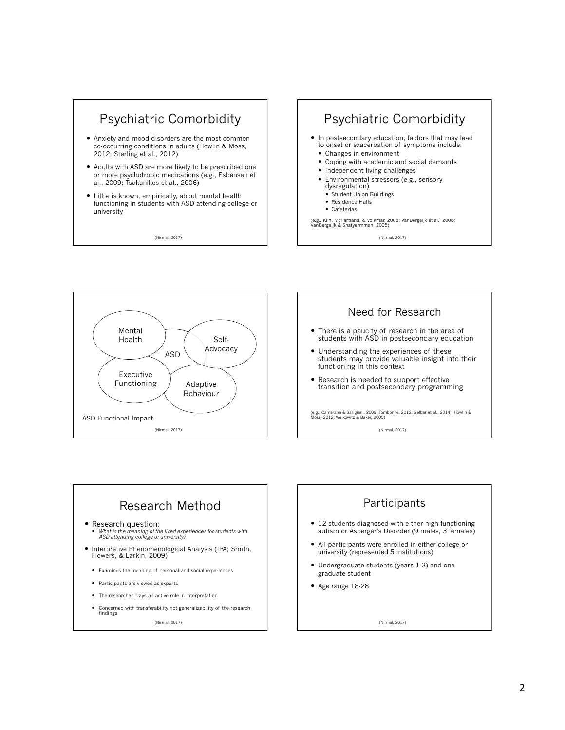

(Nirmal, 2017)







# Research Method

- Research question:
	- *What is the meaning of the lived experiences for students with ASD attending college or university?*
- Interpretive Phenomenological Analysis (IPA; Smith, Flowers, & Larkin, 2009)
- Examines the meaning of personal and social experiences
- Participants are viewed as experts
- The researcher plays an active role in interpretation
- Concerned with transferability not generalizability of the research findings

(Nirmal, 2017)

# **Participants**

- 12 students diagnosed with either high-functioning autism or Asperger's Disorder (9 males, 3 females)
- All participants were enrolled in either college or university (represented 5 institutions)
- Undergraduate students (years 1-3) and one graduate student
- Age range 18-28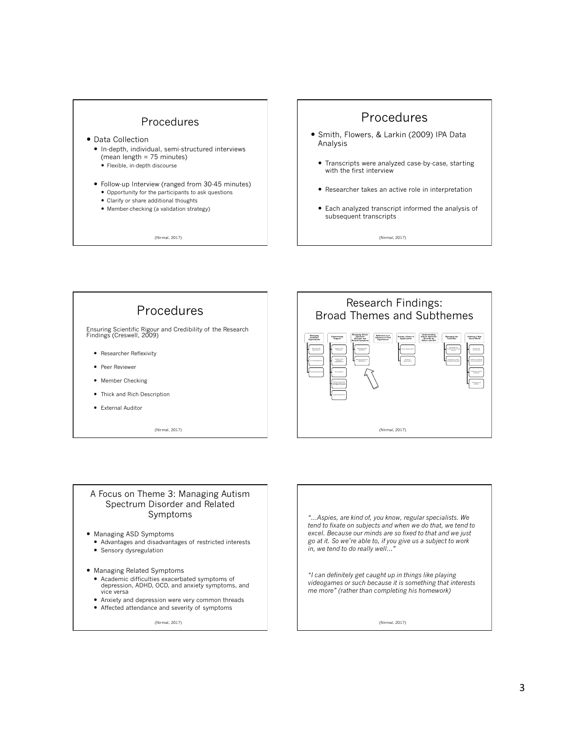

- Data Collection
	- In-depth, individual, semi-structured interviews (mean length = 75 minutes)
		- Flexible, in-depth discourse
	- Follow-up Interview (ranged from 30-45 minutes)
		- Opportunity for the participants to ask questions
		- Clarify or share additional thoughts Member-checking (a validation strategy)

(Nirmal, 2017)

### Procedures

- Smith, Flowers, & Larkin (2009) IPA Data Analysis
	- Transcripts were analyzed case-by-case, starting with the first interview
- Researcher takes an active role in interpretation
- Each analyzed transcript informed the analysis of subsequent transcripts

(Nirmal, 2017)



#### A Focus on Theme 3: Managing Autism Spectrum Disorder and Related Symptoms

- Managing ASD Symptoms
- Advantages and disadvantages of restricted interests • Sensory dysregulation
- Managing Related Symptoms
	- Academic difficulties exacerbated symptoms of depression, ADHD, OCD, and anxiety symptoms, and vice versa
	- Anxiety and depression were very common threads
	- Affected attendance and severity of symptoms

(Nirmal, 2017)

*"…Aspies, are kind of, you know, regular specialists. We tend to fixate on subjects and when we do that, we tend to excel. Because our minds are so fixed to that and we just go at it. So we're able to, if you give us a subject to work in, we tend to do really well…"* 

*"I can definitely get caught up in things like playing videogames or such because it is something that interests me more" (rather than completing his homework)*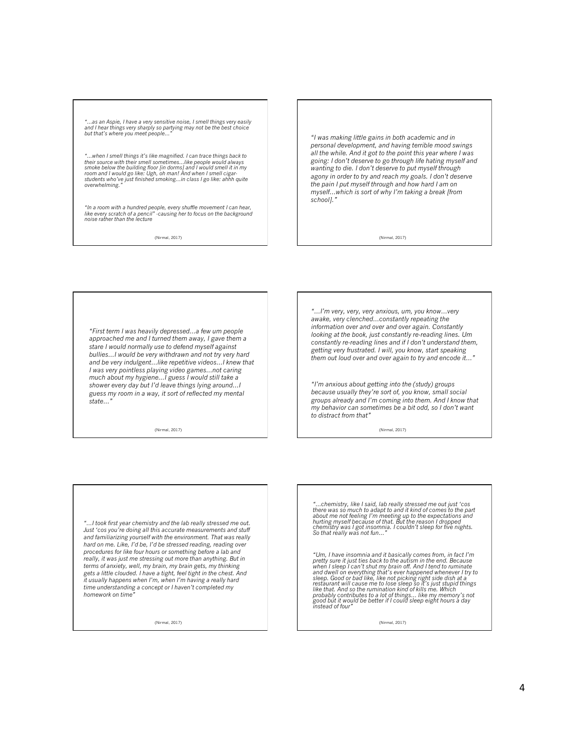*"…as an Aspie, I have a very sensitive noise, I smell things very easily and I hear things very sharply so partying may not be the best choice but that's where you meet people…"* 

"...when I smell things it's like magnified. I can trace things back to<br>their source with their smell sometimes...like people would always<br>smoke below the building floor [in dorms] and I would smell it in my<br>room and I wou

*"In a room with a hundred people, every shuffle movement I can hear, like every scratch of a pencil" -causing her to focus on the background noise rather than the lecture* 

(Nirmal, 2017)

*"I was making little gains in both academic and in personal development, and having terrible mood swings all the while. And it got to the point this year where I was going: I don't deserve to go through life hating myself and wanting to die. I don't deserve to put myself through agony in order to try and reach my goals. I don't deserve the pain I put myself through and how hard I am on myself…which is sort of why I'm taking a break [from school]."* 

(Nirmal, 2017)

*"First term I was heavily depressed…a few um people approached me and I turned them away, I gave them a stare I would normally use to defend myself against bullies…I would be very withdrawn and not try very hard and be very indulgent…like repetitive videos…I knew that I was very pointless playing video games…not caring much about my hygiene…I guess I would still take a shower every day but I'd leave things lying around…I guess my room in a way, it sort of reflected my mental state…"* 

(Nirmal, 2017)

*"…I'm very, very, very anxious, um, you know…very awake, very clenched…constantly repeating the information over and over and over again. Constantly looking at the book, just constantly re-reading lines. Um constantly re-reading lines and if I don't understand them, getting very frustrated. I will, you know, start speaking them out loud over and over again to try and encode it…"* 

*"I'm anxious about getting into the (study) groups because usually they're sort of, you know, small social groups already and I'm coming into them. And I know that my behavior can sometimes be a bit odd, so I don't want to distract from that"* 

(Nirmal, 2017)

*"…I took first year chemistry and the lab really stressed me out. Just 'cos you're doing all this accurate measurements and stuff and familiarizing yourself with the environment. That was really hard on me. Like, I'd be, I'd be stressed reading, reading over procedures for like four hours or something before a lab and really, it was just me stressing out more than anything. But in terms of anxiety, well, my brain, my brain gets, my thinking gets a little clouded. I have a tight, feel tight in the chest. And it usually happens when I'm, when I'm having a really hard time understanding a concept or I haven't completed my*  homework on time

(Nirmal, 2017)

"...chemistry, like I said, lab really stressed me out just 'cos<br>there was so much to adapt to and it kind of comes to the part<br>about me not feeling I'm meeting up to the expectations and<br>hurting myself because of that. Bu

"Um, I have insomnia and it basically comes from, in fact I'm<br>pretty sure it just ties back to the autism in the end. Because<br>when I sleep I can't shut my brain off. And I tend to ruminate<br>and dwell on everything that's ev *probably contributes to a lot of things… like my memory's not good but it would be better if I could sleep eight hours a day instead of four"*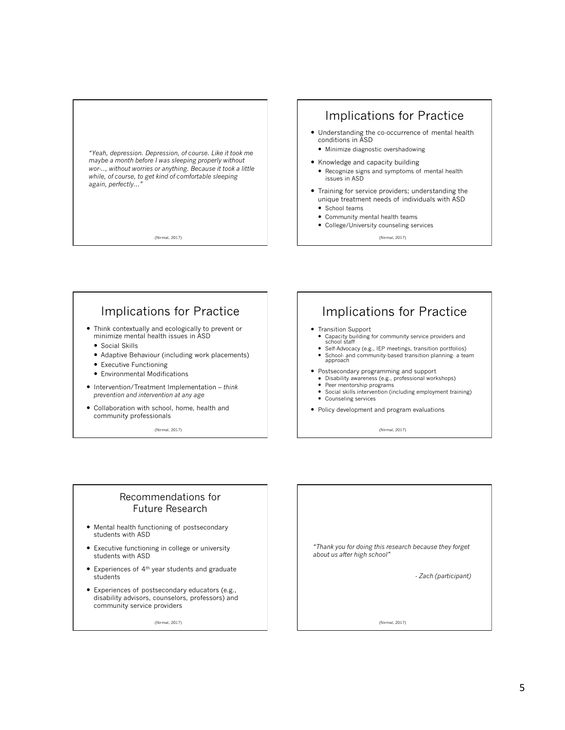

(Nirmal, 2017)

### Implications for Practice

- Understanding the co-occurrence of mental health conditions in ASD
- Minimize diagnostic overshadowing
- Knowledge and capacity building
	- Recognize signs and symptoms of mental health issues in ASD
- Training for service providers; understanding the unique treatment needs of individuals with ASD
	- School teams
	- Community mental health teams
	- College/University counseling services

(Nirmal, 2017)

### Implications for Practice

- Think contextually and ecologically to prevent or minimize mental health issues in ASD
	- Social Skills
	- Adaptive Behaviour (including work placements)
	- Executive Functioning
	- Environmental Modifications
- Intervention/Treatment Implementation *think prevention and intervention at any age*
- Collaboration with school, home, health and community professionals

(Nirmal, 2017)

### Implications for Practice

- Transition Support
	- Capacity building for community service providers and school staff
	- Self-Advocacy (e.g., IEP meetings, transition portfolios) School- and community-based transition planning- a team approach
- Postsecondary programming and support
- Disability awareness (e.g., professional workshops) Peer mentorship programs
- 
- Social skills intervention (including employment training)
- Counseling services
- Policy development and program evaluations

(Nirmal, 2017)

#### Recommendations for Future Research

- Mental health functioning of postsecondary students with ASD
- Executive functioning in college or university students with ASD
- $\bullet$  Experiences of  $4<sup>th</sup>$  year students and graduate students
- Experiences of postsecondary educators (e.g., disability advisors, counselors, professors) and community service providers

(Nirmal, 2017)

*"Thank you for doing this research because they forget about us after high school"* 

*- Zach (participant)*